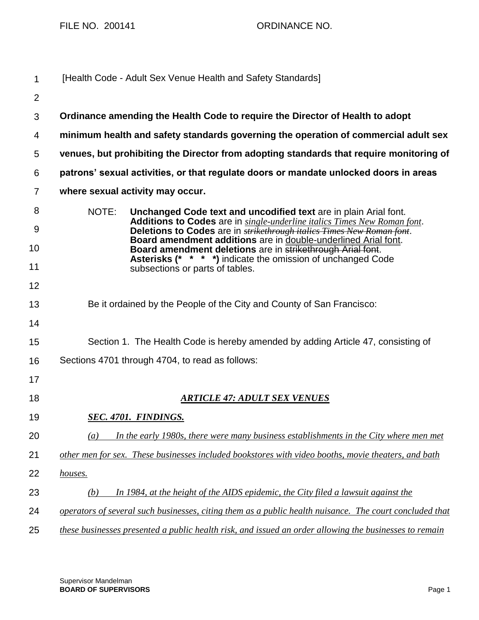FILE NO. 200141 ORDINANCE NO.

| 1              | [Health Code - Adult Sex Venue Health and Safety Standards]                                                                                                                                                                           |
|----------------|---------------------------------------------------------------------------------------------------------------------------------------------------------------------------------------------------------------------------------------|
| $\overline{2}$ |                                                                                                                                                                                                                                       |
| 3              | Ordinance amending the Health Code to require the Director of Health to adopt                                                                                                                                                         |
| 4              | minimum health and safety standards governing the operation of commercial adult sex                                                                                                                                                   |
| 5              | venues, but prohibiting the Director from adopting standards that require monitoring of                                                                                                                                               |
| 6              | patrons' sexual activities, or that regulate doors or mandate unlocked doors in areas                                                                                                                                                 |
| $\overline{7}$ | where sexual activity may occur.                                                                                                                                                                                                      |
| 8<br>9         | NOTE:<br>Unchanged Code text and uncodified text are in plain Arial font.<br>Additions to Codes are in single-underline italics Times New Roman font.<br>Deletions to Codes are in <b>strikethrough italics</b> Times New Roman font. |
| 10             | Board amendment additions are in double-underlined Arial font.<br>Board amendment deletions are in strikethrough Arial font.                                                                                                          |
| 11             | <b>Asterisks (* * * *)</b> indicate the omission of unchanged Code<br>subsections or parts of tables.                                                                                                                                 |
| 12             |                                                                                                                                                                                                                                       |
| 13             | Be it ordained by the People of the City and County of San Francisco:                                                                                                                                                                 |
| 14             |                                                                                                                                                                                                                                       |
| 15             | Section 1. The Health Code is hereby amended by adding Article 47, consisting of                                                                                                                                                      |
| 16             | Sections 4701 through 4704, to read as follows:                                                                                                                                                                                       |
| 17             |                                                                                                                                                                                                                                       |
| 18             | <u>ARTICLE 47: ADULT SEX VENUES</u>                                                                                                                                                                                                   |
| 19             | <b>SEC. 4701. FINDINGS.</b>                                                                                                                                                                                                           |
| 20             | In the early 1980s, there were many business establishments in the City where men met<br>$\left(a\right)$                                                                                                                             |
| 21             | other men for sex. These businesses included bookstores with video booths, movie theaters, and bath                                                                                                                                   |
| 22             | houses.                                                                                                                                                                                                                               |
| 23             | In 1984, at the height of the AIDS epidemic, the City filed a lawsuit against the<br>(b)                                                                                                                                              |
| 24             | operators of several such businesses, citing them as a public health nuisance. The court concluded that                                                                                                                               |
| 25             | these businesses presented a public health risk, and issued an order allowing the businesses to remain                                                                                                                                |

Supervisor Mandelman **BOARD OF SUPERVISORS** Page 1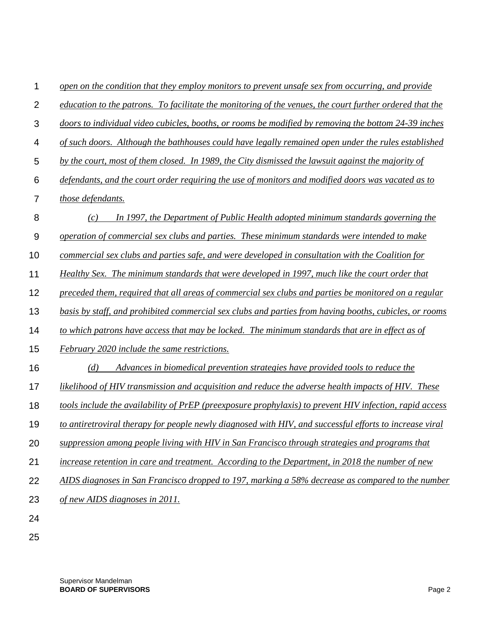| 1              | open on the condition that they employ monitors to prevent unsafe sex from occurring, and provide        |
|----------------|----------------------------------------------------------------------------------------------------------|
| $\overline{2}$ | education to the patrons. To facilitate the monitoring of the venues, the court further ordered that the |
| 3              | doors to individual video cubicles, booths, or rooms be modified by removing the bottom 24-39 inches     |
| 4              | of such doors. Although the bathhouses could have legally remained open under the rules established      |
| 5              | by the court, most of them closed. In 1989, the City dismissed the lawsuit against the majority of       |
| 6              | defendants, and the court order requiring the use of monitors and modified doors was vacated as to       |
| $\overline{7}$ | those defendants.                                                                                        |
| 8              | In 1997, the Department of Public Health adopted minimum standards governing the<br>(c)                  |
| 9              | operation of commercial sex clubs and parties. These minimum standards were intended to make             |
| 10             | commercial sex clubs and parties safe, and were developed in consultation with the Coalition for         |
| 11             | Healthy Sex. The minimum standards that were developed in 1997, much like the court order that           |
| 12             | preceded them, required that all areas of commercial sex clubs and parties be monitored on a regular     |
| 13             | basis by staff, and prohibited commercial sex clubs and parties from having booths, cubicles, or rooms   |
| 14             | to which patrons have access that may be locked. The minimum standards that are in effect as of          |
| 15             | February 2020 include the same restrictions.                                                             |
| 16             | (d)<br>Advances in biomedical prevention strategies have provided tools to reduce the                    |
| 17             | likelihood of HIV transmission and acquisition and reduce the adverse health impacts of HIV. These       |
| 18             | tools include the availability of PrEP (preexposure prophylaxis) to prevent HIV infection, rapid access  |
| 19             | to antiretroviral therapy for people newly diagnosed with HIV, and successful efforts to increase viral  |
| 20             | suppression among people living with HIV in San Francisco through strategies and programs that           |
| 21             | increase retention in care and treatment. According to the Department, in 2018 the number of new         |
| 22             | AIDS diagnoses in San Francisco dropped to 197, marking a 58% decrease as compared to the number         |
| 23             | of new AIDS diagnoses in 2011.                                                                           |
| 24             |                                                                                                          |
| 25             |                                                                                                          |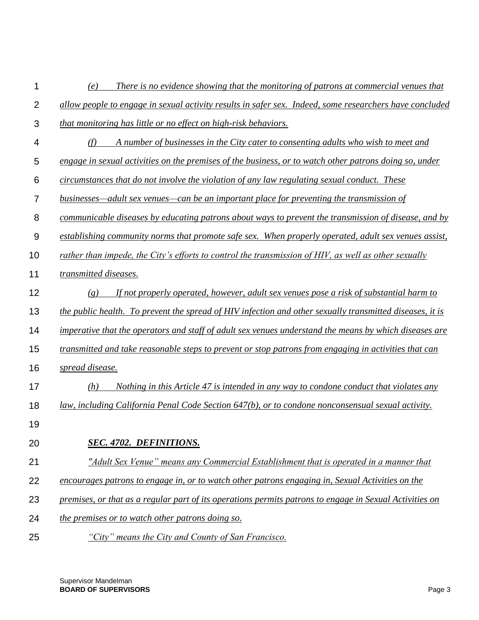| 1              | There is no evidence showing that the monitoring of patrons at commercial venues that<br>(e)             |
|----------------|----------------------------------------------------------------------------------------------------------|
| $\overline{2}$ | allow people to engage in sexual activity results in safer sex. Indeed, some researchers have concluded  |
| 3              | that monitoring has little or no effect on high-risk behaviors.                                          |
| 4              | (f)<br>A number of businesses in the City cater to consenting adults who wish to meet and                |
| 5              | engage in sexual activities on the premises of the business, or to watch other patrons doing so, under   |
| 6              | circumstances that do not involve the violation of any law regulating sexual conduct. These              |
| 7              | businesses—adult sex venues—can be an important place for preventing the transmission of                 |
| 8              | communicable diseases by educating patrons about ways to prevent the transmission of disease, and by     |
| 9              | establishing community norms that promote safe sex. When properly operated, adult sex venues assist,     |
| 10             | rather than impede, the City's efforts to control the transmission of HIV, as well as other sexually     |
| 11             | transmitted diseases.                                                                                    |
| 12             | If not properly operated, however, adult sex venues pose a risk of substantial harm to<br>(g)            |
| 13             | the public health. To prevent the spread of HIV infection and other sexually transmitted diseases, it is |
| 14             | imperative that the operators and staff of adult sex venues understand the means by which diseases are   |
| 15             | transmitted and take reasonable steps to prevent or stop patrons from engaging in activities that can    |
| 16             | spread disease.                                                                                          |
| 17             | Nothing in this Article 47 is intended in any way to condone conduct that violates any<br>(h)            |
| 18             | law, including California Penal Code Section 647(b), or to condone nonconsensual sexual activity.        |
| 19             |                                                                                                          |
| 20             | <b>SEC. 4702. DEFINITIONS.</b>                                                                           |
| 21             | "Adult Sex Venue" means any Commercial Establishment that is operated in a manner that                   |
| 22             | encourages patrons to engage in, or to watch other patrons engaging in, Sexual Activities on the         |
| 23             | premises, or that as a regular part of its operations permits patrons to engage in Sexual Activities on  |
| 24             | the premises or to watch other patrons doing so.                                                         |
| 25             | "City" means the City and County of San Francisco.                                                       |

Supervisor Mandelman **BOARD OF SUPERVISORS** Page 3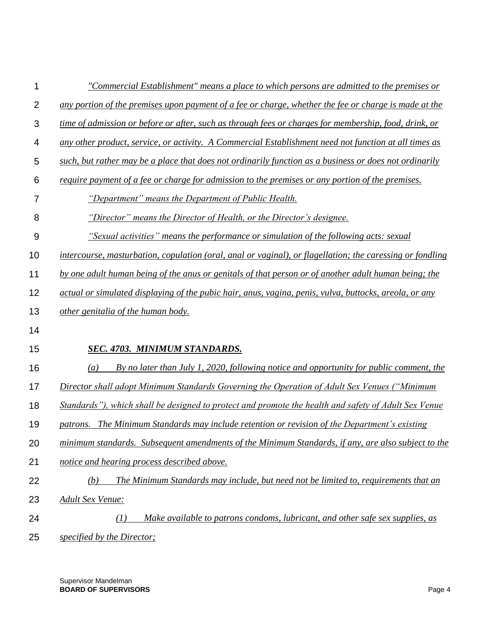| 1              | "Commercial Establishment" means a place to which persons are admitted to the premises or                 |
|----------------|-----------------------------------------------------------------------------------------------------------|
| $\overline{2}$ | any portion of the premises upon payment of a fee or charge, whether the fee or charge is made at the     |
| 3              | time of admission or before or after, such as through fees or charges for membership, food, drink, or     |
| 4              | any other product, service, or activity. A Commercial Establishment need not function at all times as     |
| 5              | such, but rather may be a place that does not ordinarily function as a business or does not ordinarily    |
| 6              | require payment of a fee or charge for admission to the premises or any portion of the premises.          |
| 7              | "Department" means the Department of Public Health.                                                       |
| 8              | "Director" means the Director of Health, or the Director's designee.                                      |
| 9              | "Sexual activities" means the performance or simulation of the following acts: sexual                     |
| 10             | intercourse, masturbation, copulation (oral, anal or vaginal), or flagellation; the caressing or fondling |
| 11             | by one adult human being of the anus or genitals of that person or of another adult human being; the      |
| 12             | actual or simulated displaying of the pubic hair, anus, vagina, penis, vulva, buttocks, areola, or any    |
| 13             | other genitalia of the human body.                                                                        |
| 14             |                                                                                                           |
| 15             | SEC. 4703. MINIMUM STANDARDS.                                                                             |
| 16             | (a)<br>By no later than July 1, 2020, following notice and opportunity for public comment, the            |
| 17             | Director shall adopt Minimum Standards Governing the Operation of Adult Sex Venues ("Minimum              |
| 18             | Standards"), which shall be designed to protect and promote the health and safety of Adult Sex Venue      |
| 19             | patrons. The Minimum Standards may include retention or revision of the Department's existing             |
| 20             | minimum standards. Subsequent amendments of the Minimum Standards, if any, are also subject to the        |
| 21             | notice and hearing process described above.                                                               |
| 22             | The Minimum Standards may include, but need not be limited to, requirements that an<br>(b)                |
| 23             | <b>Adult Sex Venue:</b>                                                                                   |
| 24             | Make available to patrons condoms, lubricant, and other safe sex supplies, as<br>(I)                      |
| 25             | specified by the Director;                                                                                |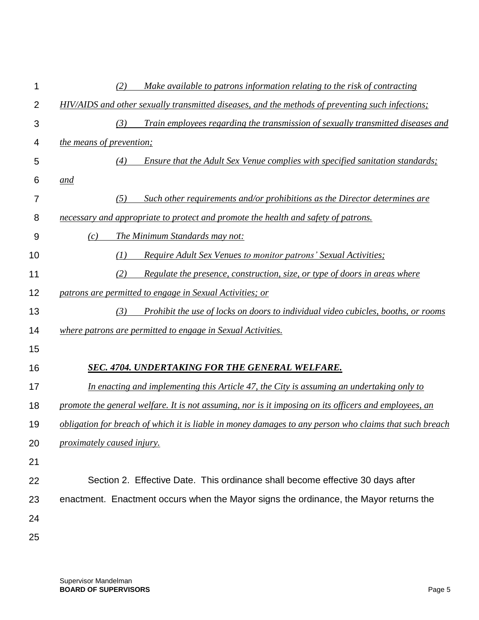| 1              | Make available to patrons information relating to the risk of contracting<br>(2)                       |
|----------------|--------------------------------------------------------------------------------------------------------|
| $\overline{2}$ | HIV/AIDS and other sexually transmitted diseases, and the methods of preventing such infections;       |
| 3              | Train employees regarding the transmission of sexually transmitted diseases and<br>(3)                 |
| 4              | <i>the means of prevention;</i>                                                                        |
| 5              | Ensure that the Adult Sex Venue complies with specified sanitation standards;<br>(4)                   |
| 6              | and                                                                                                    |
| 7              | Such other requirements and/or prohibitions as the Director determines are<br>(5)                      |
| 8              | necessary and appropriate to protect and promote the health and safety of patrons.                     |
| 9              | The Minimum Standards may not:<br>(c)                                                                  |
| 10             | <b>Require Adult Sex Venues to monitor patrons' Sexual Activities;</b><br>(1)                          |
| 11             | Regulate the presence, construction, size, or type of doors in areas where<br>(2)                      |
| 12             | patrons are permitted to engage in Sexual Activities; or                                               |
| 13             | (3)<br>Prohibit the use of locks on doors to individual video cubicles, booths, or rooms               |
| 14             | where patrons are permitted to engage in Sexual Activities.                                            |
| 15             |                                                                                                        |
| 16             | <b>SEC. 4704. UNDERTAKING FOR THE GENERAL WELFARE.</b>                                                 |
| 17             | In enacting and implementing this Article 47, the City is assuming an undertaking only to              |
| 18             | promote the general welfare. It is not assuming, nor is it imposing on its officers and employees, an  |
| 19             | obligation for breach of which it is liable in money damages to any person who claims that such breach |
| 20             | proximately caused injury.                                                                             |
| 21             |                                                                                                        |
| 22             | Section 2. Effective Date. This ordinance shall become effective 30 days after                         |
| 23             | enactment. Enactment occurs when the Mayor signs the ordinance, the Mayor returns the                  |
| 24             |                                                                                                        |
| 25             |                                                                                                        |
|                |                                                                                                        |

Supervisor Mandelman **BOARD OF SUPERVISORS** Page 5